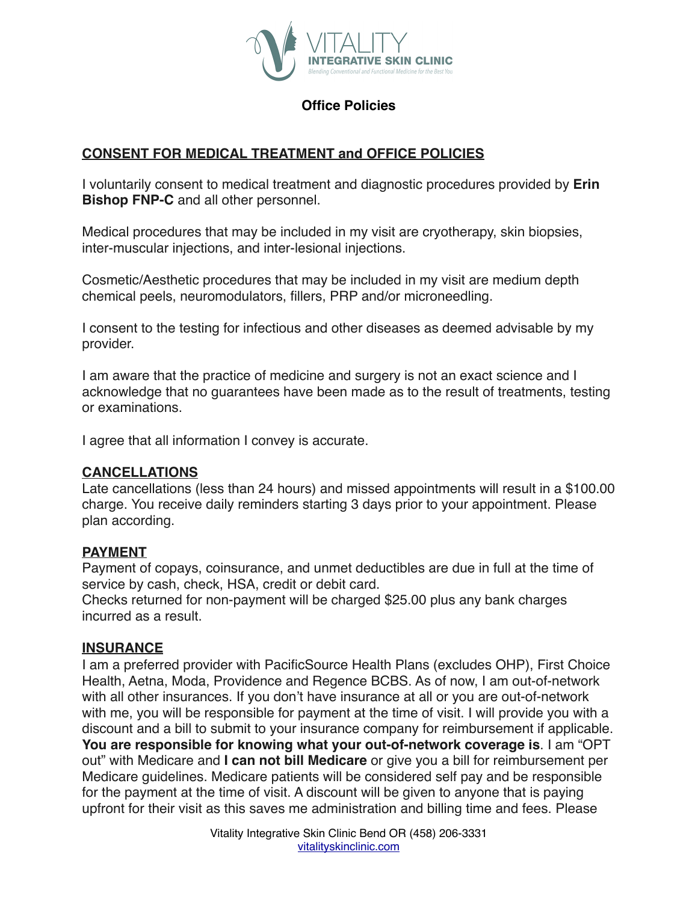

## **Office Policies**

## **CONSENT FOR MEDICAL TREATMENT and OFFICE POLICIES**

I voluntarily consent to medical treatment and diagnostic procedures provided by **Erin Bishop FNP-C** and all other personnel.

Medical procedures that may be included in my visit are cryotherapy, skin biopsies, inter-muscular injections, and inter-lesional injections.

Cosmetic/Aesthetic procedures that may be included in my visit are medium depth chemical peels, neuromodulators, fillers, PRP and/or microneedling.

I consent to the testing for infectious and other diseases as deemed advisable by my provider.

I am aware that the practice of medicine and surgery is not an exact science and I acknowledge that no guarantees have been made as to the result of treatments, testing or examinations.

I agree that all information I convey is accurate.

#### **CANCELLATIONS**

Late cancellations (less than 24 hours) and missed appointments will result in a \$100.00 charge. You receive daily reminders starting 3 days prior to your appointment. Please plan according.

#### **PAYMENT**

Payment of copays, coinsurance, and unmet deductibles are due in full at the time of service by cash, check, HSA, credit or debit card.

Checks returned for non-payment will be charged \$25.00 plus any bank charges incurred as a result.

#### **INSURANCE**

I am a preferred provider with PacificSource Health Plans (excludes OHP), First Choice Health, Aetna, Moda, Providence and Regence BCBS. As of now, I am out-of-network with all other insurances. If you don't have insurance at all or you are out-of-network with me, you will be responsible for payment at the time of visit. I will provide you with a discount and a bill to submit to your insurance company for reimbursement if applicable. **You are responsible for knowing what your out-of-network coverage is**. I am "OPT out" with Medicare and **I can not bill Medicare** or give you a bill for reimbursement per Medicare guidelines. Medicare patients will be considered self pay and be responsible for the payment at the time of visit. A discount will be given to anyone that is paying upfront for their visit as this saves me administration and billing time and fees. Please

> Vitality Integrative Skin Clinic Bend OR (458) 206-3331 [vitalityskinclinic.com](http://www.vitalityfunctionalmed.com)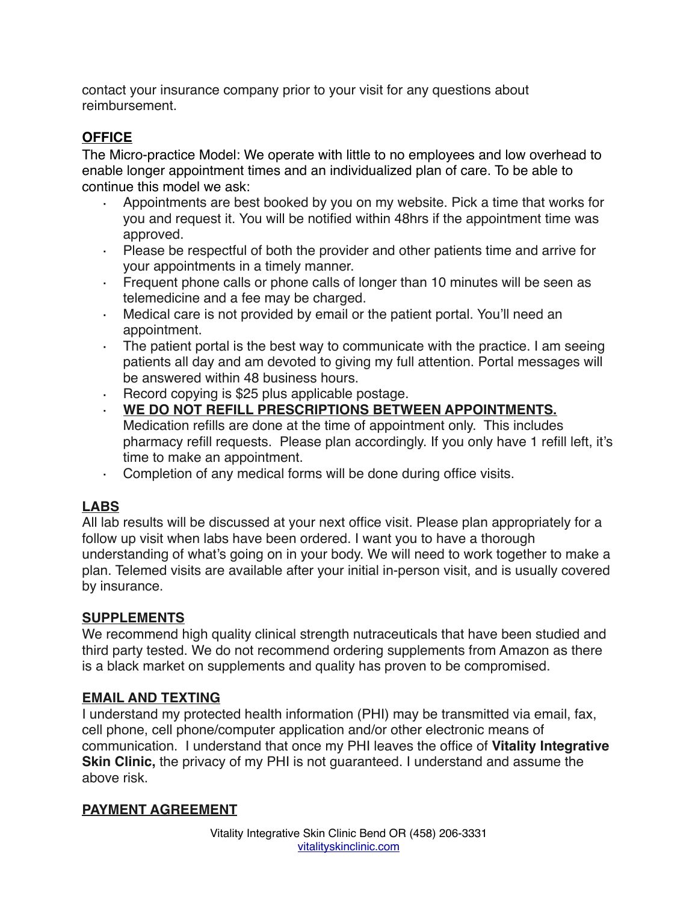contact your insurance company prior to your visit for any questions about reimbursement.

# **OFFICE**

The Micro-practice Model: We operate with little to no employees and low overhead to enable longer appointment times and an individualized plan of care. To be able to continue this model we ask:

- · Appointments are best booked by you on my website. Pick a time that works for you and request it. You will be notified within 48hrs if the appointment time was approved.
- · Please be respectful of both the provider and other patients time and arrive for your appointments in a timely manner.
- · Frequent phone calls or phone calls of longer than 10 minutes will be seen as telemedicine and a fee may be charged.
- · Medical care is not provided by email or the patient portal. You'll need an appointment.
- · The patient portal is the best way to communicate with the practice. I am seeing patients all day and am devoted to giving my full attention. Portal messages will be answered within 48 business hours.
- · Record copying is \$25 plus applicable postage.
- · **WE DO NOT REFILL PRESCRIPTIONS BETWEEN APPOINTMENTS.** Medication refills are done at the time of appointment only. This includes pharmacy refill requests. Please plan accordingly. If you only have 1 refill left, it's time to make an appointment.
- · Completion of any medical forms will be done during office visits.

# **LABS**

All lab results will be discussed at your next office visit. Please plan appropriately for a follow up visit when labs have been ordered. I want you to have a thorough understanding of what's going on in your body. We will need to work together to make a plan. Telemed visits are available after your initial in-person visit, and is usually covered by insurance.

## **SUPPLEMENTS**

We recommend high quality clinical strength nutraceuticals that have been studied and third party tested. We do not recommend ordering supplements from Amazon as there is a black market on supplements and quality has proven to be compromised.

# **EMAIL AND TEXTING**

I understand my protected health information (PHI) may be transmitted via email, fax, cell phone, cell phone/computer application and/or other electronic means of communication. I understand that once my PHI leaves the office of **Vitality Integrative Skin Clinic,** the privacy of my PHI is not guaranteed. I understand and assume the above risk.

## **PAYMENT AGREEMENT**